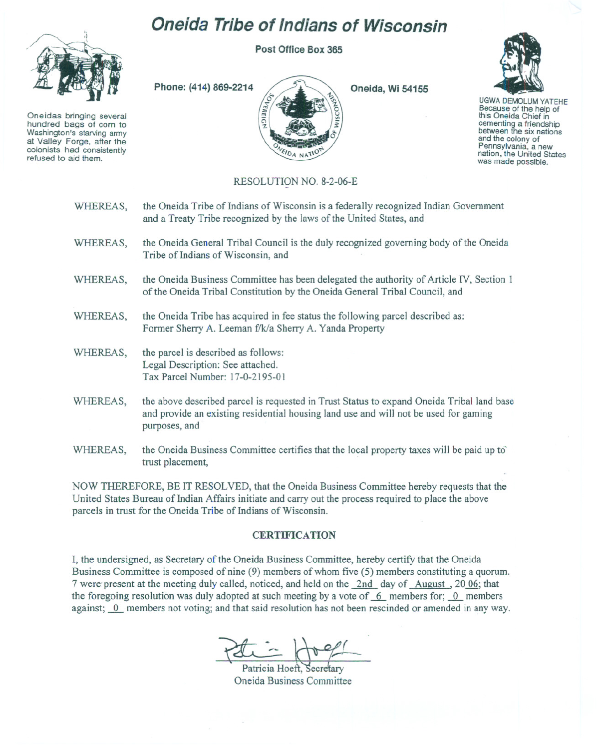## **Oneida Tribe of Indians of Wisconsin**

**Post Office Box 365**



Oneidas bringing several hundred bags of corn to Washington's starving army at Valley Forge, after the refused to aid them.



**Oneida, Wi 54155**



UGWA DEMOLUM YATEHE Because of the help of this Oneida Chief in cementing <sup>a</sup> friendship between the six nations and the colony of<br>Pennsylvania, a new nation, the United States was made possible.

## RESOLUTION NO. 8-2-06-E

| WHEREAS, | the Oneida Tribe of Indians of Wisconsin is a federally recognized Indian Government<br>and a Treaty Tribe recognized by the laws of the United States, and                                                                          |
|----------|--------------------------------------------------------------------------------------------------------------------------------------------------------------------------------------------------------------------------------------|
| WHEREAS, | the Oneida General Tribal Council is the duly recognized governing body of the Oneida<br>Tribe of Indians of Wisconsin, and                                                                                                          |
| WHEREAS, | the Oneida Business Committee has been delegated the authority of Article IV, Section 1<br>of the Oneida Tribal Constitution by the Oneida General Tribal Council, and                                                               |
| WHEREAS, | the Oneida Tribe has acquired in fee status the following parcel described as:<br>Former Sherry A. Leeman f/k/a Sherry A. Yanda Property                                                                                             |
| WHEREAS, | the parcel is described as follows:<br>Legal Description: See attached.<br>Tax Parcel Number: 17-0-2195-01                                                                                                                           |
| WHEREAS, | the above described parcel is requested in Trust Status to expand Oneida Tribal land base<br>and provide an existing residential housing land use and will not be used for gaming<br>purposes, and                                   |
|          | <b>CONTRACT OF REAL PROPERTY AND RELEASED FOR A STATE OF A PROPERTY AND RELEASED FOR A STATE OF A STATE OF A STATE OF A STATE OF A STATE OF A STATE OF A STATE OF A STATE OF A STATE OF A STATE OF A STATE OF A STATE OF A STATE</b> |

WHEREAS, the Oneida Business Committee certifies that the local property taxes will be paid up to trust placement,

NOW THEREFORE, BE IT RESOLVED, that the Oneida Business Committee hereby requests that the United States Bureau of Indian Affairs initiate and carry out the process required to place the above parcels in trust for the Oneida Tribe of Indians of Wisconsin.

## **CERTIFICATION**

I, the undersigned, as Secretary of the Oneida Business Committee, hereby certify that the Oneida Business Committee is composed of nine (9) members of whom five (5) members constituting a quorum. 7 were present at the meeting duly called, noticed, and held on the 2nd day of August, 20 06; that the foregoing resolution was duly adopted at such meeting by a vote of  $6$  members for;  $0$  members against;  $\overline{0}$  members not voting; and that said resolution has not been rescinded or amended in any way.

Patricia Hoeft. Secretary Oneida Business Committee